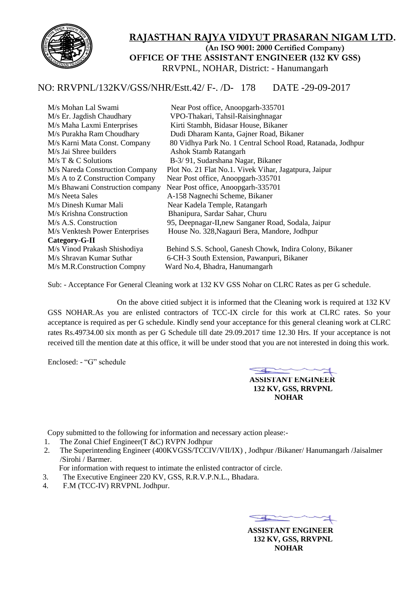

### **RAJASTHAN RAJYA VIDYUT PRASARAN NIGAM LTD. (An ISO 9001: 2000 Certified Company) OFFICE OF THE ASSISTANT ENGINEER (132 KV GSS)** RRVPNL, NOHAR, District: - Hanumangarh

## NO: RRVPNL/132KV/GSS/NHR/Estt.42/ F-. /D- 178 DATE -29-09-2017

| M/s Mohan Lal Swami              | Near Post office, Anoopgarh-335701                          |
|----------------------------------|-------------------------------------------------------------|
| M/s Er. Jagdish Chaudhary        | VPO-Thakari, Tahsil-Raisinghnagar                           |
| M/s Maha Laxmi Enterprises       | Kirti Stambh, Bidasar House, Bikaner                        |
| M/s Purakha Ram Choudhary        | Dudi Dharam Kanta, Gajner Road, Bikaner                     |
| M/s Karni Mata Const. Company    | 80 Vidhya Park No. 1 Central School Road, Ratanada, Jodhpur |
| M/s Jai Shree builders           | <b>Ashok Stamb Ratangarh</b>                                |
| $M/s$ T & C Solutions            | B-3/91, Sudarshana Nagar, Bikaner                           |
| M/s Nareda Construction Company  | Plot No. 21 Flat No.1. Vivek Vihar, Jagatpura, Jaipur       |
| M/s A to Z Construction Company  | Near Post office, Anoopgarh-335701                          |
| M/s Bhawani Construction company | Near Post office, Anoopgarh-335701                          |
| M/s Neeta Sales                  | A-158 Nagnechi Scheme, Bikaner                              |
| M/s Dinesh Kumar Mali            | Near Kadela Temple, Ratangarh                               |
| M/s Krishna Construction         | Bhanipura, Sardar Sahar, Churu                              |
| M/s A.S. Construction            | 95, Deepnagar-II, new Sanganer Road, Sodala, Jaipur         |
| M/s Venktesh Power Enterprises   | House No. 328, Nagauri Bera, Mandore, Jodhpur               |
| Category-G-II                    |                                                             |
| M/s Vinod Prakash Shishodiya     | Behind S.S. School, Ganesh Chowk, Indira Colony, Bikaner    |
| M/s Shravan Kumar Suthar         | 6-CH-3 South Extension, Pawanpuri, Bikaner                  |
| M/s M.R.Construction Compny      | Ward No.4, Bhadra, Hanumangarh                              |
|                                  |                                                             |

Sub: - Acceptance For General Cleaning work at 132 KV GSS Nohar on CLRC Rates as per G schedule.

 On the above citied subject it is informed that the Cleaning work is required at 132 KV GSS NOHAR.As you are enlisted contractors of TCC-IX circle for this work at CLRC rates. So your acceptance is required as per G schedule. Kindly send your acceptance for this general cleaning work at CLRC rates Rs.49734.00 six month as per G Schedule till date 29.09.2017 time 12.30 Hrs. If your acceptance is not received till the mention date at this office, it will be under stood that you are not interested in doing this work.

Enclosed: - "G" schedule

 $\leftarrow$  **ASSISTANT ENGINEER 132 KV, GSS, RRVPNL NOHAR**

Copy submitted to the following for information and necessary action please:-

- 1. The Zonal Chief Engineer(T &C) RVPN Jodhpur
- 2. The Superintending Engineer (400KVGSS/TCCIV/VII/IX) , Jodhpur /Bikaner/ Hanumangarh /Jaisalmer /Sirohi / Barmer.

For information with request to intimate the enlisted contractor of circle.

- 3. The Executive Engineer 220 KV, GSS, R.R.V.P.N.L., Bhadara.
- 4. F.M (TCC-IV) RRVPNL Jodhpur.

 $\overline{\phantom{a}}$ 

 **ASSISTANT ENGINEER 132 KV, GSS, RRVPNL NOHAR**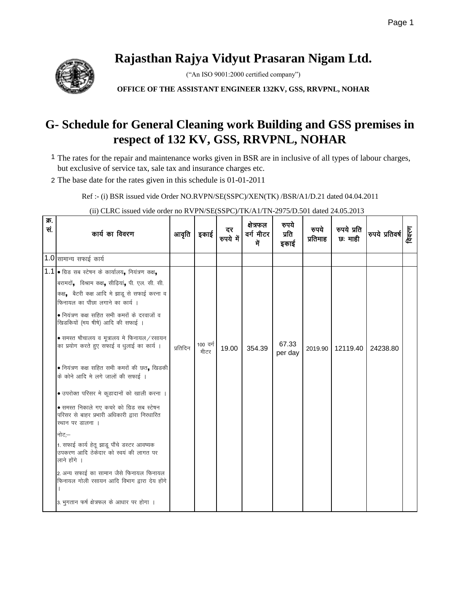# **Rajasthan Rajya Vidyut Prasaran Nigam Ltd.**

("An ISO 9001:2000 certified company")

**OFFICE OF THE ASSISTANT ENGINEER 132KV, GSS, RRVPNL, NOHAR**

## **G- Schedule for General Cleaning work Building and GSS premises in respect of 132 KV, GSS, RRVPNL, NOHAR**

- 1 The rates for the repair and maintenance works given in BSR are in inclusive of all types of labour charges, but exclusive of service tax, sale tax and insurance charges etc.
- 2 The base date for the rates given in this schedule is 01-01-2011

Ref :- (i) BSR issued vide Order NO.RVPN/SE(SSPC)/XEN(TK) /BSR/A1/D.21 dated 04.04.2011

(ii) CLRC issued vide order no RVPN/SE(SSPC)/TK/A1/TN-2975/D.501 dated 24.05.2013

| क्र.<br>सं. | कार्य का विवरण                                                                                                                                                                                                                                                                                                                                                                                                                                                                                                                                                                                                                                                                                                                                                                                                                                                                                   | आवृति    | इकाई             | दर<br>रुपये में | क्षेत्रफल<br>वर्ग मीटर<br>में | रुपये<br>प्रति<br>इकाई | रुपये<br>प्रतिमाह | रुपये प्रति<br>छ: माही | रुपये प्रतिवर्ष | विवरण |
|-------------|--------------------------------------------------------------------------------------------------------------------------------------------------------------------------------------------------------------------------------------------------------------------------------------------------------------------------------------------------------------------------------------------------------------------------------------------------------------------------------------------------------------------------------------------------------------------------------------------------------------------------------------------------------------------------------------------------------------------------------------------------------------------------------------------------------------------------------------------------------------------------------------------------|----------|------------------|-----------------|-------------------------------|------------------------|-------------------|------------------------|-----------------|-------|
|             | $1.0$ सामान्य सफाई कार्य                                                                                                                                                                                                                                                                                                                                                                                                                                                                                                                                                                                                                                                                                                                                                                                                                                                                         |          |                  |                 |                               |                        |                   |                        |                 |       |
|             | $1.1$ • ग्रिड सब स्टेषन के कार्यालय, नियंत्रण कक्ष,<br>बरामदों, विश्राम कक्ष, सीढ़ियां, पी. एल. सी. सी.<br>कक्ष, बैटरी कक्ष आदि मे झाडू से सफाई करना व<br>फिनायल का पौंछा लगाने का कार्य ।<br>• नियंत्रण कक्ष सहित सभी कमरों के दरवाजों व<br>खिडकियों (मय षीषे) आदि की सफाई ।<br>$\bullet$ समस्त षौचालय व मूत्रालय मे फिनायल/रसायन<br>का प्रयोग करते हुए सफाई व धुलाई का कार्य ।<br>• नियंत्रण कक्ष सहित सभी कमरों की छत, खिडकी<br>के कोने आदि मे लगे जालों की सफाई ।<br>• उपरोक्त परिसर मे कूडादानों को खाली करना ।<br>• समस्त निकाले गए कचरे को ग्रिड सब स्टेषन<br>परिसर से बाहर प्रभारी अधिकारी द्वारा निरधारित<br>स्थान पर डालना ।<br>नोट;—<br>1. सफाई कार्य हेतू झाडू पौंचे डस्टर आवष्यक<br>उपकरण आदि ठेकेदार को स्वयं की लागत पर<br>लाने होंगे ।<br>2. अन्य सफाई का सामान जैसे फिनायल फिनायल<br>फिनायल गोली रसायन आदि विभाग द्वारा देय होंगे<br>3. भुगतान फर्ष क्षेत्रफल के आधार पर होगा । | प्रतिदिन | 100 वर्ग<br>मीटर | 19.00           | 354.39                        | 67.33<br>per day       | 2019.90           | 12119.40               | 24238.80        |       |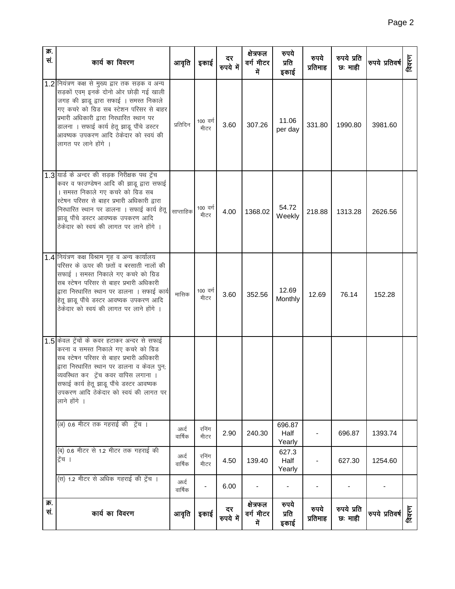| क.<br>सं.   | कार्य का विवरण                                                                                                                                                                                                                                                                                                                          | आवृति             | इकाई             | दर<br>रुपये में | क्षेत्रफल<br>वर्ग मीटर<br>में | रुपये<br>प्रति<br>इकाई   | रुपये<br>प्रतिमाह | रुपये प्रति<br>छः माही | रुपये प्रतिवर्ष | विवरण |
|-------------|-----------------------------------------------------------------------------------------------------------------------------------------------------------------------------------------------------------------------------------------------------------------------------------------------------------------------------------------|-------------------|------------------|-----------------|-------------------------------|--------------------------|-------------------|------------------------|-----------------|-------|
|             | 1.2 नियंत्रण कक्ष से मुख्य द्वार तक सड़क व अन्य<br>सड़कों एवम् इनके दोनो ओर छोड़ी गई खाली<br>जगह की झाडू द्वारा सफाई । समस्त निकाले<br>गए कचरे को ग्रिड सब स्टेशन परिसर से बाहर<br>प्रभारी अधिकारी द्वारा निरधारित स्थान पर<br>डालना । सफाई कार्य हेतू झाडू पौंचे डस्टर<br>आवष्यक उपकरण आदि ठेकेदार को स्वयं की<br>लागत पर लाने होंगे । | प्रतिदिन          | 100 वर्ग<br>मीटर | 3.60            | 307.26                        | 11.06<br>per day         | 331.80            | 1990.80                | 3981.60         |       |
|             | 1.3 यार्ड के अन्दर की सड़क निरीक्षक पथ ट्रेंच<br>कवर व फाउण्डेषन आदि की झाडू द्वारा सफाई<br>। समस्त निकाले गए कचरे को ग्रिड सब<br>स्टेषन परिसर से बाहर प्रभारी अधिकारी द्वारा<br>निरधारित स्थान पर डालना । सफाई कार्य हेतू<br>झाडू पौंचे डस्टर आवष्यक उपकरण आदि<br>ठेकेदार को स्वयं की लागत पर लाने होंगे ।                             | साप्ताहिक         | 100 वर्ग<br>मीटर | 4.00            | 1368.02                       | 54.72<br>Weekly          | 218.88            | 1313.28                | 2626.56         |       |
|             | 1.4 नियंत्रण कक्ष विश्राम गृह व अन्य कार्यालय<br>परिसर के ऊपर की छतों व बरसाती नालों की<br>सफाई । समस्त निकाले गए कचरे को ग्रिड<br>सब स्टेषन परिसर से बाहर प्रभारी अधिकारी<br>द्वारा निरधारित स्थान पर डालना । सफाई कार्य<br>हेतू झाडू पौंचे डस्टर आवष्यक उपकरण आदि<br>ठेकेदार को स्वयं की लागत पर लाने होंगे ।                         | मासिक             | 100 वर्ग<br>मीटर | 3.60            | 352.56                        | 12.69<br>Monthly         | 12.69             | 76.14                  | 152.28          |       |
|             | 1.5 केवल ट्रेंचों के कवर हटाकर अन्दर से सफाई<br>करना व समस्त निकाले गए कचरे को ग्रिड<br>सब स्टेषन परिसर से बाहर प्रभारी अधिकारी<br>द्वारा निरधारित स्थान पर डालना व केवल पुन;<br>व्यवस्थित कर ट्रेंच कवर वापिस लगाना ।<br>सफाई कार्य हेतू झाडू पौंचे डस्टर आवष्यक<br>उपकरण आदि ठेकेदार को स्वयं की लागत पर<br>लाने होंगे ।              |                   |                  |                 |                               |                          |                   |                        |                 |       |
|             | (अ) 0.6 मीटर तक गहराई की ट्रेंच ।                                                                                                                                                                                                                                                                                                       | अर्ध्द<br>वार्षिक | रनिंग<br>मीटर    | 2.90            | 240.30                        | 696.87<br>Half<br>Yearly |                   | 696.87                 | 1393.74         |       |
|             | (ब) 0.6 मीटर से 1.2 मीटर तक गहराई की<br>ट्रेंच ।                                                                                                                                                                                                                                                                                        | अर्ध्द<br>वार्षिक | रनिंग<br>मीटर    | 4.50            | 139.40                        | 627.3<br>Half<br>Yearly  |                   | 627.30                 | 1254.60         |       |
|             | (स) 1.2 मीटर से अधिक गहराई की ट्रेंच ।                                                                                                                                                                                                                                                                                                  | अर्ध्द<br>वार्षिक |                  | 6.00            |                               |                          |                   |                        |                 |       |
| क्र.<br>सं. | कार्य का विवरण                                                                                                                                                                                                                                                                                                                          | आवृति             | इकाई             | दर<br>रुपये में | क्षेत्रफल<br>वर्ग मीटर<br>में | रुपये<br>प्रति<br>इकाई   | रुपये<br>प्रतिमाह | रुपये प्रति<br>छ: माही | रुपये प्रतिवर्ष | विवरण |